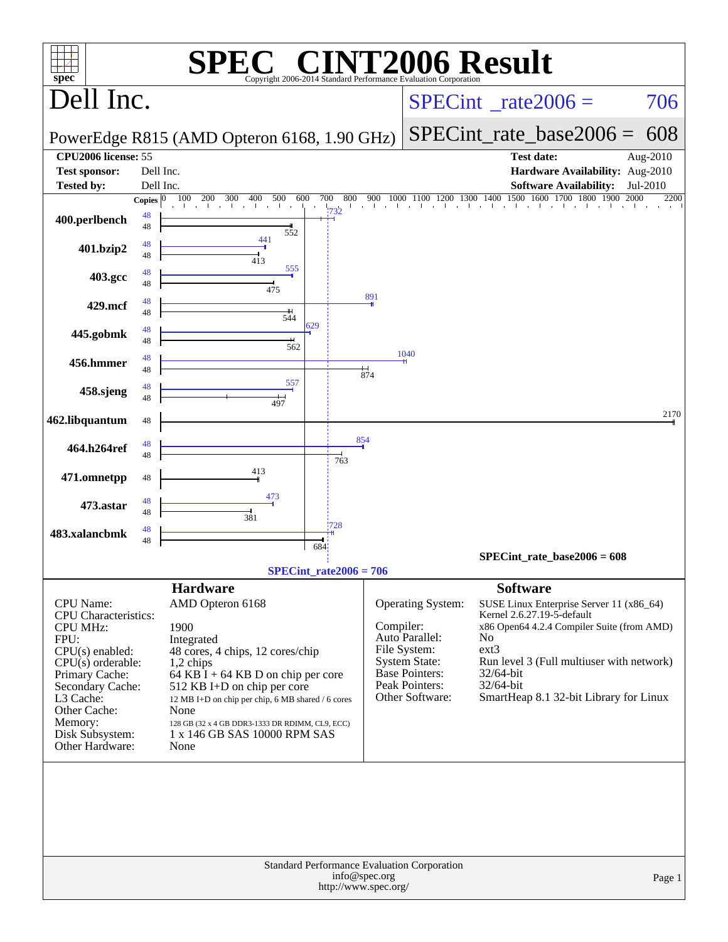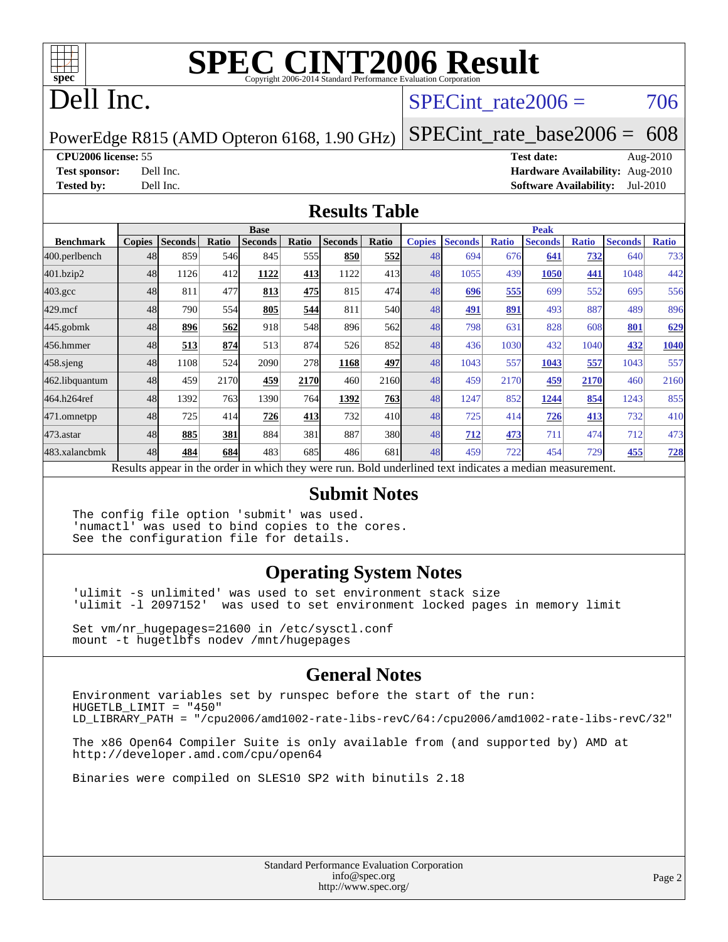

# **[SPEC CINT2006 Result](http://www.spec.org/auto/cpu2006/Docs/result-fields.html#SPECCINT2006Result)**

## Dell Inc.

#### SPECint rate $2006 = 706$

PowerEdge R815 (AMD Opteron 6168, 1.90 GHz)

[SPECint\\_rate\\_base2006 =](http://www.spec.org/auto/cpu2006/Docs/result-fields.html#SPECintratebase2006) 608

**[CPU2006 license:](http://www.spec.org/auto/cpu2006/Docs/result-fields.html#CPU2006license)** 55 **[Test date:](http://www.spec.org/auto/cpu2006/Docs/result-fields.html#Testdate)** Aug-2010

**[Test sponsor:](http://www.spec.org/auto/cpu2006/Docs/result-fields.html#Testsponsor)** Dell Inc. **[Hardware Availability:](http://www.spec.org/auto/cpu2006/Docs/result-fields.html#HardwareAvailability)** Aug-2010 **[Tested by:](http://www.spec.org/auto/cpu2006/Docs/result-fields.html#Testedby)** Dell Inc. **[Software Availability:](http://www.spec.org/auto/cpu2006/Docs/result-fields.html#SoftwareAvailability)** Jul-2010

#### **[Results Table](http://www.spec.org/auto/cpu2006/Docs/result-fields.html#ResultsTable)**

|                    | <b>Base</b>   |                |       |                                                                                                          |                  |                |                 |               | <b>Peak</b>    |              |                |              |                |              |  |
|--------------------|---------------|----------------|-------|----------------------------------------------------------------------------------------------------------|------------------|----------------|-----------------|---------------|----------------|--------------|----------------|--------------|----------------|--------------|--|
| <b>Benchmark</b>   | <b>Copies</b> | <b>Seconds</b> | Ratio | <b>Seconds</b>                                                                                           | Ratio            | <b>Seconds</b> | Ratio           | <b>Copies</b> | <b>Seconds</b> | <b>Ratio</b> | <b>Seconds</b> | <b>Ratio</b> | <b>Seconds</b> | <b>Ratio</b> |  |
| 400.perlbench      | 48            | 859            | 546   | 845                                                                                                      | 555 <sup>I</sup> | 850            | 552             | 48            | 694            | 676          | 641            | <u>732</u>   | 640            | 733          |  |
| 401.bzip2          | 48            | 1126           | 412   | 1122                                                                                                     | 413              | 1122           | 413             | 48            | 1055           | 439          | 1050           | 441          | 1048           | 442          |  |
| $403.\mathrm{gcc}$ | 48            | 811            | 477   | 813                                                                                                      | 475              | 815            | 474             | 48            | 696            | 555          | 699            | 552          | 695            | 556          |  |
| $429$ .mcf         | 48            | 790            | 554   | 805                                                                                                      | 544              | 811            | <b>540</b>      | 48            | 491            | 891          | 493            | 887          | 489            | 896          |  |
| $445$ .gobm $k$    | 48            | 896            | 562   | 918                                                                                                      | 548              | 896            | 562l            | 48            | 798            | 631          | 828            | 608          | 801            | 629          |  |
| 456.hmmer          | 48            | 513            | 874   | 513                                                                                                      | 874              | 526            | 852l            | 48            | 436            | 1030         | 432            | 1040         | 432            | 1040         |  |
| 458 sjeng          | 48            | 1108           | 524   | 2090                                                                                                     | 278              | 1168           | 497             | 48            | 1043           | 557          | 1043           | 557          | 1043           | 557          |  |
| 462.libquantum     | 48            | 459            | 2170  | 459                                                                                                      | 2170             | 460            | 2160            | 48            | 459            | 2170         | 459            | 2170         | 460            | 2160         |  |
| 464.h264ref        | 48            | 1392           | 763   | 1390                                                                                                     | 764              | 1392           | 763             | 48            | 1247           | 852          | 1244           | 854          | 1243           | 855          |  |
| 471.omnetpp        | 48            | 725            | 414   | 726                                                                                                      | 413              | 732            | 41 <sub>0</sub> | 48            | 725            | 414          | 726            | 413          | 732            | 410          |  |
| $473.$ astar       | 48            | 885            | 381   | 884                                                                                                      | 381              | 887            | 380             | 48            | 712            | 473          | 711            | 474          | 712            | 473          |  |
| 483.xalancbmk      | 48            | 484            | 684   | 483                                                                                                      | 685              | 486            | 681             | 48            | 459            | 722          | 454            | 729          | 455            | <u>728</u>   |  |
|                    |               |                |       | Results appear in the order in which they were run. Bold underlined text indicates a median measurement. |                  |                |                 |               |                |              |                |              |                |              |  |

#### **[Submit Notes](http://www.spec.org/auto/cpu2006/Docs/result-fields.html#SubmitNotes)**

The config file option 'submit' was used. 'numactl' was used to bind copies to the cores. See the configuration file for details.

#### **[Operating System Notes](http://www.spec.org/auto/cpu2006/Docs/result-fields.html#OperatingSystemNotes)**

'ulimit -s unlimited' was used to set environment stack size 'ulimit -l 2097152' was used to set environment locked pages in memory limit

Set vm/nr\_hugepages=21600 in /etc/sysctl.conf mount -t hugetlbfs nodev /mnt/hugepages

#### **[General Notes](http://www.spec.org/auto/cpu2006/Docs/result-fields.html#GeneralNotes)**

Environment variables set by runspec before the start of the run: HUGETLB\_LIMIT = "450" LD\_LIBRARY\_PATH = "/cpu2006/amd1002-rate-libs-revC/64:/cpu2006/amd1002-rate-libs-revC/32"

The x86 Open64 Compiler Suite is only available from (and supported by) AMD at <http://developer.amd.com/cpu/open64>

Binaries were compiled on SLES10 SP2 with binutils 2.18

Standard Performance Evaluation Corporation [info@spec.org](mailto:info@spec.org) <http://www.spec.org/>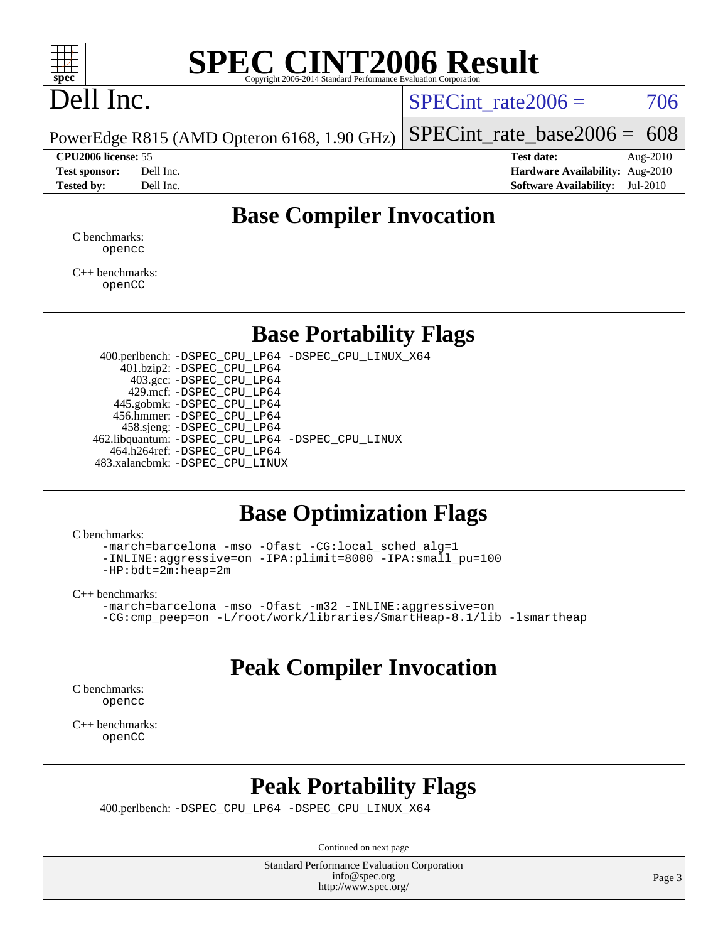

# **[SPEC CINT2006 Result](http://www.spec.org/auto/cpu2006/Docs/result-fields.html#SPECCINT2006Result)**

# Dell Inc.

SPECint rate $2006 = 706$ 

PowerEdge R815 (AMD Opteron 6168, 1.90 GHz) [SPECint\\_rate\\_base2006 =](http://www.spec.org/auto/cpu2006/Docs/result-fields.html#SPECintratebase2006) 608

**[CPU2006 license:](http://www.spec.org/auto/cpu2006/Docs/result-fields.html#CPU2006license)** 55 **[Test date:](http://www.spec.org/auto/cpu2006/Docs/result-fields.html#Testdate)** Aug-2010 **[Test sponsor:](http://www.spec.org/auto/cpu2006/Docs/result-fields.html#Testsponsor)** Dell Inc. **[Hardware Availability:](http://www.spec.org/auto/cpu2006/Docs/result-fields.html#HardwareAvailability)** Aug-2010 **[Tested by:](http://www.spec.org/auto/cpu2006/Docs/result-fields.html#Testedby)** Dell Inc. **[Software Availability:](http://www.spec.org/auto/cpu2006/Docs/result-fields.html#SoftwareAvailability)** Jul-2010

### **[Base Compiler Invocation](http://www.spec.org/auto/cpu2006/Docs/result-fields.html#BaseCompilerInvocation)**

[C benchmarks](http://www.spec.org/auto/cpu2006/Docs/result-fields.html#Cbenchmarks): [opencc](http://www.spec.org/cpu2006/results/res2010q3/cpu2006-20100914-13271.flags.html#user_CCbase_Fopencc)

[C++ benchmarks:](http://www.spec.org/auto/cpu2006/Docs/result-fields.html#CXXbenchmarks) [openCC](http://www.spec.org/cpu2006/results/res2010q3/cpu2006-20100914-13271.flags.html#user_CXXbase_FopenCC)

#### **[Base Portability Flags](http://www.spec.org/auto/cpu2006/Docs/result-fields.html#BasePortabilityFlags)**

 400.perlbench: [-DSPEC\\_CPU\\_LP64](http://www.spec.org/cpu2006/results/res2010q3/cpu2006-20100914-13271.flags.html#b400.perlbench_basePORTABILITY_DSPEC_CPU_LP64) [-DSPEC\\_CPU\\_LINUX\\_X64](http://www.spec.org/cpu2006/results/res2010q3/cpu2006-20100914-13271.flags.html#b400.perlbench_baseCPORTABILITY_DSPEC_CPU_LINUX_X64) 401.bzip2: [-DSPEC\\_CPU\\_LP64](http://www.spec.org/cpu2006/results/res2010q3/cpu2006-20100914-13271.flags.html#suite_basePORTABILITY401_bzip2_DSPEC_CPU_LP64) 403.gcc: [-DSPEC\\_CPU\\_LP64](http://www.spec.org/cpu2006/results/res2010q3/cpu2006-20100914-13271.flags.html#suite_basePORTABILITY403_gcc_DSPEC_CPU_LP64) 429.mcf: [-DSPEC\\_CPU\\_LP64](http://www.spec.org/cpu2006/results/res2010q3/cpu2006-20100914-13271.flags.html#suite_basePORTABILITY429_mcf_DSPEC_CPU_LP64) 445.gobmk: [-DSPEC\\_CPU\\_LP64](http://www.spec.org/cpu2006/results/res2010q3/cpu2006-20100914-13271.flags.html#suite_basePORTABILITY445_gobmk_DSPEC_CPU_LP64) 456.hmmer: [-DSPEC\\_CPU\\_LP64](http://www.spec.org/cpu2006/results/res2010q3/cpu2006-20100914-13271.flags.html#suite_basePORTABILITY456_hmmer_DSPEC_CPU_LP64) 458.sjeng: [-DSPEC\\_CPU\\_LP64](http://www.spec.org/cpu2006/results/res2010q3/cpu2006-20100914-13271.flags.html#suite_basePORTABILITY458_sjeng_DSPEC_CPU_LP64) 462.libquantum: [-DSPEC\\_CPU\\_LP64](http://www.spec.org/cpu2006/results/res2010q3/cpu2006-20100914-13271.flags.html#suite_basePORTABILITY462_libquantum_DSPEC_CPU_LP64) [-DSPEC\\_CPU\\_LINUX](http://www.spec.org/cpu2006/results/res2010q3/cpu2006-20100914-13271.flags.html#b462.libquantum_baseCPORTABILITY_DSPEC_CPU_LINUX) 464.h264ref: [-DSPEC\\_CPU\\_LP64](http://www.spec.org/cpu2006/results/res2010q3/cpu2006-20100914-13271.flags.html#suite_basePORTABILITY464_h264ref_DSPEC_CPU_LP64) 483.xalancbmk: [-DSPEC\\_CPU\\_LINUX](http://www.spec.org/cpu2006/results/res2010q3/cpu2006-20100914-13271.flags.html#b483.xalancbmk_baseCXXPORTABILITY_DSPEC_CPU_LINUX)

#### **[Base Optimization Flags](http://www.spec.org/auto/cpu2006/Docs/result-fields.html#BaseOptimizationFlags)**

[C benchmarks](http://www.spec.org/auto/cpu2006/Docs/result-fields.html#Cbenchmarks):

[-march=barcelona](http://www.spec.org/cpu2006/results/res2010q3/cpu2006-20100914-13271.flags.html#user_CCbase_F-march_8ea39521cada96f307a04d0b8b9c6ffb) [-mso](http://www.spec.org/cpu2006/results/res2010q3/cpu2006-20100914-13271.flags.html#user_CCbase_F-mso) [-Ofast](http://www.spec.org/cpu2006/results/res2010q3/cpu2006-20100914-13271.flags.html#user_CCbase_F-Ofast) [-CG:local\\_sched\\_alg=1](http://www.spec.org/cpu2006/results/res2010q3/cpu2006-20100914-13271.flags.html#user_CCbase_F-CG:local_sched_alg_2175ca61f1a2717f1ec57b14995b9e7a) [-INLINE:aggressive=on](http://www.spec.org/cpu2006/results/res2010q3/cpu2006-20100914-13271.flags.html#user_CCbase_F-INLINE:aggressive_e14807c0a1e56a6a83cb25ab07c7ae8a) [-IPA:plimit=8000](http://www.spec.org/cpu2006/results/res2010q3/cpu2006-20100914-13271.flags.html#user_CCbase_F-IPA:plimit_92cba83f3d47f09c7d5368fda93ddbd7) [-IPA:small\\_pu=100](http://www.spec.org/cpu2006/results/res2010q3/cpu2006-20100914-13271.flags.html#user_CCbase_F-IPA:small_pu_900a09767c6929d55c26ea3d32399996) [-HP:bdt=2m:heap=2m](http://www.spec.org/cpu2006/results/res2010q3/cpu2006-20100914-13271.flags.html#user_CCbase_F-HUGEPAGE_855e97383b49831f390a2af16fe7202f)

[C++ benchmarks:](http://www.spec.org/auto/cpu2006/Docs/result-fields.html#CXXbenchmarks)

[-march=barcelona](http://www.spec.org/cpu2006/results/res2010q3/cpu2006-20100914-13271.flags.html#user_CXXbase_F-march_8ea39521cada96f307a04d0b8b9c6ffb) [-mso](http://www.spec.org/cpu2006/results/res2010q3/cpu2006-20100914-13271.flags.html#user_CXXbase_F-mso) [-Ofast](http://www.spec.org/cpu2006/results/res2010q3/cpu2006-20100914-13271.flags.html#user_CXXbase_F-Ofast) [-m32](http://www.spec.org/cpu2006/results/res2010q3/cpu2006-20100914-13271.flags.html#user_CXXbase_F-m32) [-INLINE:aggressive=on](http://www.spec.org/cpu2006/results/res2010q3/cpu2006-20100914-13271.flags.html#user_CXXbase_F-INLINE:aggressive_e14807c0a1e56a6a83cb25ab07c7ae8a) [-CG:cmp\\_peep=on](http://www.spec.org/cpu2006/results/res2010q3/cpu2006-20100914-13271.flags.html#user_CXXbase_F-CG:cmp_peep_ab90c979e95bee1f1f617a32622424ed) [-L/root/work/libraries/SmartHeap-8.1/lib -lsmartheap](http://www.spec.org/cpu2006/results/res2010q3/cpu2006-20100914-13271.flags.html#user_CXXbase_F-L_lib_directory_lsmartheap_9ab549d8336b8b0ffe7b94e3ae706265)

## **[Peak Compiler Invocation](http://www.spec.org/auto/cpu2006/Docs/result-fields.html#PeakCompilerInvocation)**

[C benchmarks](http://www.spec.org/auto/cpu2006/Docs/result-fields.html#Cbenchmarks): [opencc](http://www.spec.org/cpu2006/results/res2010q3/cpu2006-20100914-13271.flags.html#user_CCpeak_Fopencc)

[C++ benchmarks:](http://www.spec.org/auto/cpu2006/Docs/result-fields.html#CXXbenchmarks) [openCC](http://www.spec.org/cpu2006/results/res2010q3/cpu2006-20100914-13271.flags.html#user_CXXpeak_FopenCC)

### **[Peak Portability Flags](http://www.spec.org/auto/cpu2006/Docs/result-fields.html#PeakPortabilityFlags)**

400.perlbench: [-DSPEC\\_CPU\\_LP64](http://www.spec.org/cpu2006/results/res2010q3/cpu2006-20100914-13271.flags.html#b400.perlbench_peakPORTABILITY_DSPEC_CPU_LP64) [-DSPEC\\_CPU\\_LINUX\\_X64](http://www.spec.org/cpu2006/results/res2010q3/cpu2006-20100914-13271.flags.html#b400.perlbench_peakCPORTABILITY_DSPEC_CPU_LINUX_X64)

Continued on next page

Standard Performance Evaluation Corporation [info@spec.org](mailto:info@spec.org) <http://www.spec.org/>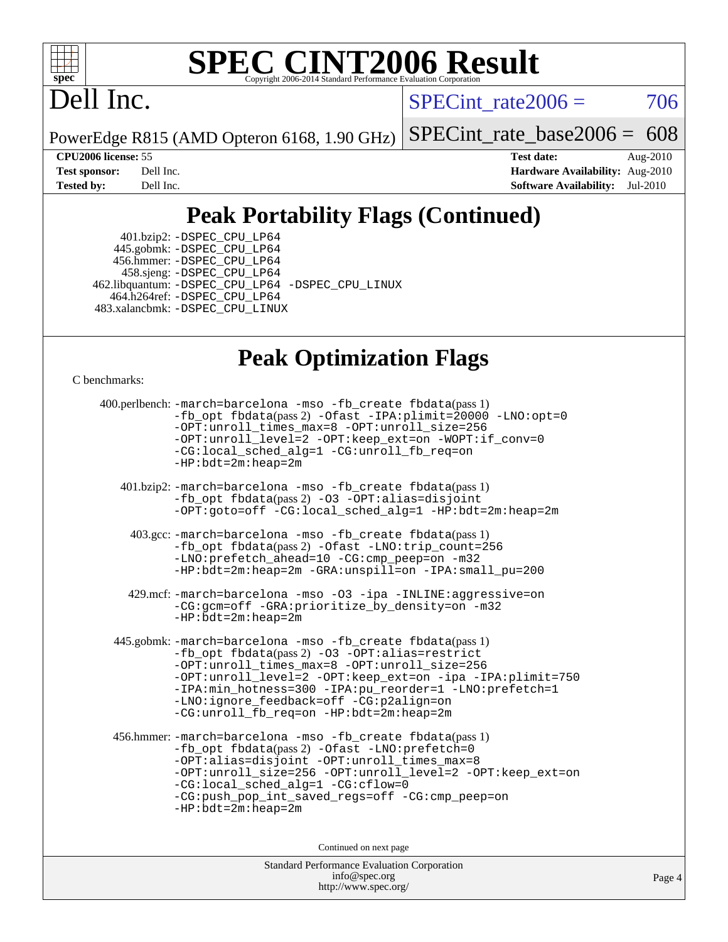

# **[SPEC CINT2006 Result](http://www.spec.org/auto/cpu2006/Docs/result-fields.html#SPECCINT2006Result)**

# Dell Inc.

 $SPECTnt\_rate2006 = 706$ 

PowerEdge R815 (AMD Opteron 6168, 1.90 GHz)

[SPECint\\_rate\\_base2006 =](http://www.spec.org/auto/cpu2006/Docs/result-fields.html#SPECintratebase2006) 608

**[CPU2006 license:](http://www.spec.org/auto/cpu2006/Docs/result-fields.html#CPU2006license)** 55 **[Test date:](http://www.spec.org/auto/cpu2006/Docs/result-fields.html#Testdate)** Aug-2010 **[Test sponsor:](http://www.spec.org/auto/cpu2006/Docs/result-fields.html#Testsponsor)** Dell Inc. **[Hardware Availability:](http://www.spec.org/auto/cpu2006/Docs/result-fields.html#HardwareAvailability)** Aug-2010 **[Tested by:](http://www.spec.org/auto/cpu2006/Docs/result-fields.html#Testedby)** Dell Inc. **[Software Availability:](http://www.spec.org/auto/cpu2006/Docs/result-fields.html#SoftwareAvailability)** Jul-2010

## **[Peak Portability Flags \(Continued\)](http://www.spec.org/auto/cpu2006/Docs/result-fields.html#PeakPortabilityFlags)**

 401.bzip2: [-DSPEC\\_CPU\\_LP64](http://www.spec.org/cpu2006/results/res2010q3/cpu2006-20100914-13271.flags.html#suite_peakPORTABILITY401_bzip2_DSPEC_CPU_LP64) 445.gobmk: [-DSPEC\\_CPU\\_LP64](http://www.spec.org/cpu2006/results/res2010q3/cpu2006-20100914-13271.flags.html#suite_peakPORTABILITY445_gobmk_DSPEC_CPU_LP64) 456.hmmer: [-DSPEC\\_CPU\\_LP64](http://www.spec.org/cpu2006/results/res2010q3/cpu2006-20100914-13271.flags.html#suite_peakPORTABILITY456_hmmer_DSPEC_CPU_LP64) 458.sjeng: [-DSPEC\\_CPU\\_LP64](http://www.spec.org/cpu2006/results/res2010q3/cpu2006-20100914-13271.flags.html#suite_peakPORTABILITY458_sjeng_DSPEC_CPU_LP64) 462.libquantum: [-DSPEC\\_CPU\\_LP64](http://www.spec.org/cpu2006/results/res2010q3/cpu2006-20100914-13271.flags.html#suite_peakPORTABILITY462_libquantum_DSPEC_CPU_LP64) [-DSPEC\\_CPU\\_LINUX](http://www.spec.org/cpu2006/results/res2010q3/cpu2006-20100914-13271.flags.html#b462.libquantum_peakCPORTABILITY_DSPEC_CPU_LINUX) 464.h264ref: [-DSPEC\\_CPU\\_LP64](http://www.spec.org/cpu2006/results/res2010q3/cpu2006-20100914-13271.flags.html#suite_peakPORTABILITY464_h264ref_DSPEC_CPU_LP64) 483.xalancbmk: [-DSPEC\\_CPU\\_LINUX](http://www.spec.org/cpu2006/results/res2010q3/cpu2006-20100914-13271.flags.html#b483.xalancbmk_peakCXXPORTABILITY_DSPEC_CPU_LINUX)

### **[Peak Optimization Flags](http://www.spec.org/auto/cpu2006/Docs/result-fields.html#PeakOptimizationFlags)**

[C benchmarks](http://www.spec.org/auto/cpu2006/Docs/result-fields.html#Cbenchmarks):

```
 400.perlbench: -march=barcelona -mso -fb_create fbdata(pass 1)
         -fb_opt fbdata(pass 2) -Ofast -IPA:plimit=20000 -LNO:opt=0
         -OPT:unroll_times_max=8 -OPT:unroll_size=256
         -OPT:unroll_level=2 -OPT:keep_ext=on -WOPT:if_conv=0
         -CG:local_sched_alg=1 -CG:unroll_fb_req=on
         -HP:bdt=2m:heap=2m
  401.bzip2: -march=barcelona -mso -fb_create fbdata(pass 1)
         -fb_opt fbdata(pass 2) -O3 -OPT:alias=disjoint
         -OPT:goto=off -CG:local_sched_alg=1 -HP:bdt=2m:heap=2m
   403.gcc: -march=barcelona -mso -fb_create fbdata(pass 1)
         -fb_opt fbdata(pass 2) -Ofast -LNO:trip_count=256
         -LNO:prefetch_ahead=10 -CG:cmp_peep=on -m32
         -HP:bdt=2m:heap=2m -GRA:unspill=on -IPA:small_pu=200
   429.mcf: -march=barcelona -mso -O3 -ipa -INLINE:aggressive=on
         -CG:gcm=off -GRA:prioritize_by_density=on -m32
        -HP:bdt=2m:heap=2m
445.gobmk: -march=barcelona -mso -fb_create fbdata(pass 1)
         -fb_opt fbdata(pass 2) -O3 -OPT:alias=restrict
         -OPT:unroll_times_max=8 -OPT:unroll_size=256
         -OPT:unroll_level=2 -OPT:keep_ext=on -ipa -IPA:plimit=750
         -IPA:min_hotness=300-IPA:pu_reorder=1-LNO:prefetch=1
         -LNO:ignore_feedback=off -CG:p2align=on
         -CG:unroll_fb_req=on -HP:bdt=2m:heap=2m
456.hmmer: -march=barcelona -mso -fb_create fbdata(pass 1)
         -fb_opt fbdata(pass 2) -Ofast -LNO:prefetch=0
         -OPT:alias=disjoint -OPT:unroll_times_max=8
         -OPT:unroll_size=256 -OPT:unroll_level=2 -OPT:keep_ext=on
         -CG:local_sched_alg=1 -CG:cflow=0
         -CG:push_pop_int_saved_regs=off -CG:cmp_peep=on
         -HP:bdt=2m:heap=2m
                              Continued on next page
```